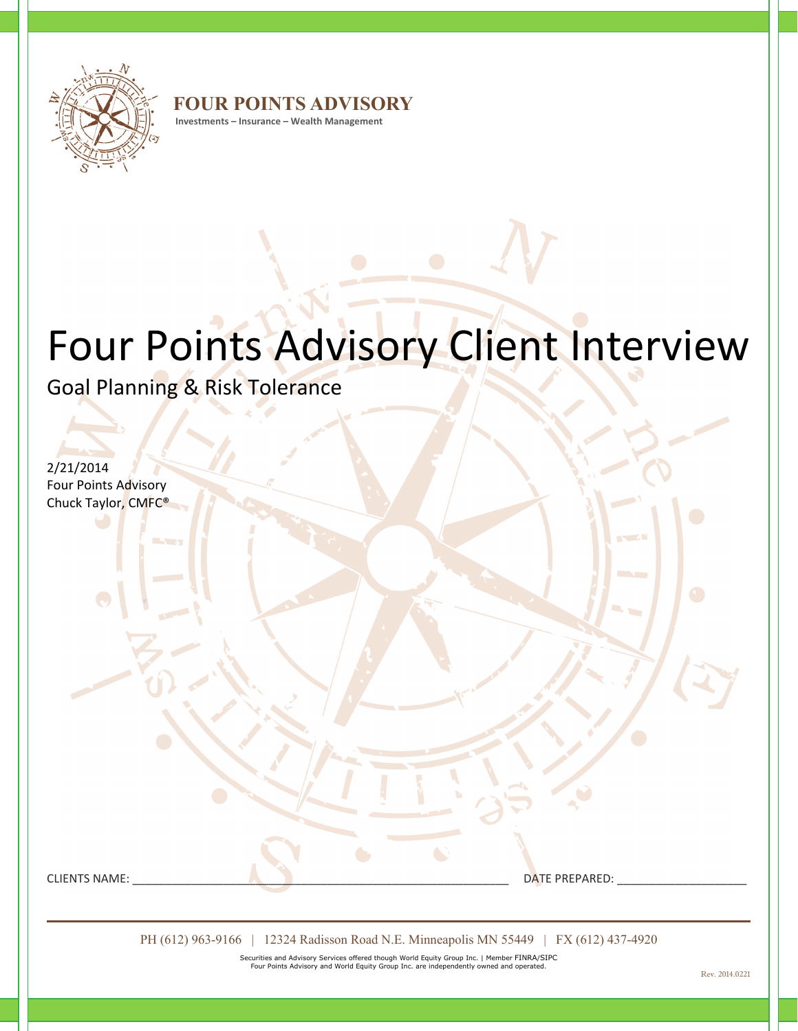

**FOUR POINTS ADVISORY**

**Investments – Insurance – Wealth Management**

# Four Points Advisory Client Interview

Goal Planning & Risk Tolerance

2/21/2014

Four Points Advisory Chuck Taylor, CMFC®

CLIENTS NAME: \_\_\_\_\_\_\_\_\_\_\_\_\_\_\_\_\_\_\_\_\_\_\_\_\_\_\_\_\_\_\_\_\_\_\_\_\_\_\_\_\_\_\_\_\_\_\_\_\_\_\_\_\_\_\_\_\_\_ DATE PREPARED: \_\_\_\_\_\_\_\_\_\_\_\_\_\_\_\_\_\_\_\_

PH (612) 963-9166 | 12324 Radisson Road N.E. Minneapolis MN 55449 | FX (612) 437-4920

Securities and Advisory Services offered though World Equity Group Inc. | Member FINRA/SIPC Four Points Advisory and World Equity Group Inc. are independently owned and operated.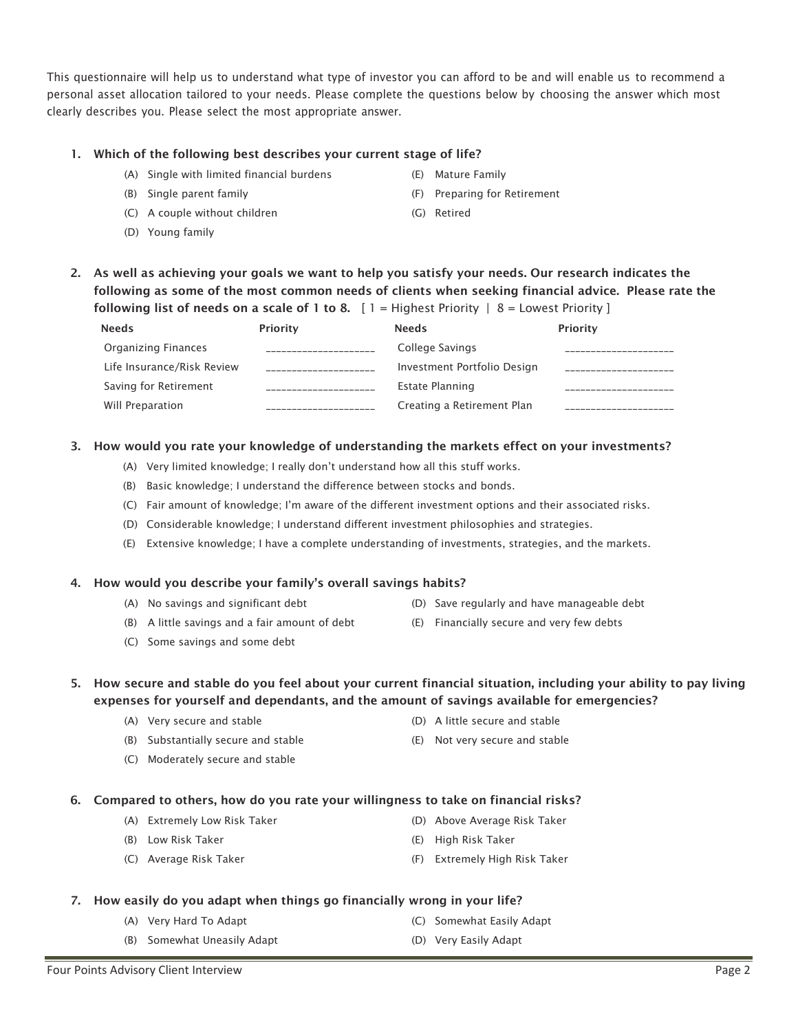3. How would you rate your knowledge of understanding the markets effect on your investments?

(A) Very limited knowledge; I really don't understand how all this stuff works.

\_\_\_\_\_\_\_\_\_\_\_\_\_\_\_\_\_\_\_\_\_

- (B) Basic knowledge; I understand the difference between stocks and bonds.
- (C) Fair amount of knowledge; I'm aware of the different investment options and their associated risks.
- (D) Considerable knowledge; I understand different investment philosophies and strategies.
- (E) Extensive knowledge; I have a complete understanding of investments, strategies, and the markets.

## 4. How would you describe your family's overall savings habits?

- (A) No savings and significant debt
- (B) A little savings and a fair amount of debt
- (C) Some savings and some debt
- 5. How secure and stable do you feel about your current financial situation, including your ability to pay living expenses for yourself and dependants, and the amount of savings available for emergencies?
	- (A) Very secure and stable
	- (B) Substantially secure and stable
	- (C) Moderately secure and stable
- 6. Compared to others, how do you rate your willingness to take on financial risks?
	- (A) Extremely Low Risk Taker
	- (B) Low Risk Taker
	- (C) Average Risk Taker

(E) Not very secure and stable

(D) Above Average Risk Taker

(F) Extremely High Risk Taker

# 7. How easily do you adapt when things go financially wrong in your life?

- (A) Very Hard To Adapt
- (B) Somewhat Uneasily Adapt
- (C) Somewhat Easily Adapt
- (D) Very Easily Adapt

(E) High Risk Taker

# This questionnaire will help us to understand what type of investor you can afford to be and will enable us to recommend a personal asset allocation tailored to your needs. Please complete the questions below by choosing the answer which most clearly describes you. Please select the most appropriate answer.

# 1. Which of the following best describes your current stage of life?

- (A) Single with limited financial burdens
- (B) Single parent family
- (C) A couple without children
- (D) Young family

 Organizing Finances Life Insurance/Risk Review Saving for Retirement Will Preparation

Needs

(E) Mature Family

Creating a Retirement Plan

\_\_\_\_\_\_\_\_\_\_\_\_\_\_\_\_\_\_\_\_\_

- (F) Preparing for Retirement
- (G) Retired

- (D) A little secure and stable
- 

(D) Save regularly and have manageable debt (E) Financially secure and very few debts

- 
- 

- 
- 
- -
- -

2. As well as achieving your goals we want to help you satisfy your needs. Our research indicates the following as some of the most common needs of clients when seeking financial advice. Please rate the following list of needs on a scale of 1 to 8.  $[1 =$  Highest Priority  $| 8 =$  Lowest Priority ] Priority \_\_\_\_\_\_\_\_\_\_\_\_\_\_\_\_\_\_\_\_\_ \_\_\_\_\_\_\_\_\_\_\_\_\_\_\_\_\_\_\_\_\_ Needs College Savings Investment Portfolio Design Estate Planning Priority \_\_\_\_\_\_\_\_\_\_\_\_\_\_\_\_\_\_\_\_\_ \_\_\_\_\_\_\_\_\_\_\_\_\_\_\_\_\_\_\_\_\_ \_\_\_\_\_\_\_\_\_\_\_\_\_\_\_\_\_\_\_\_\_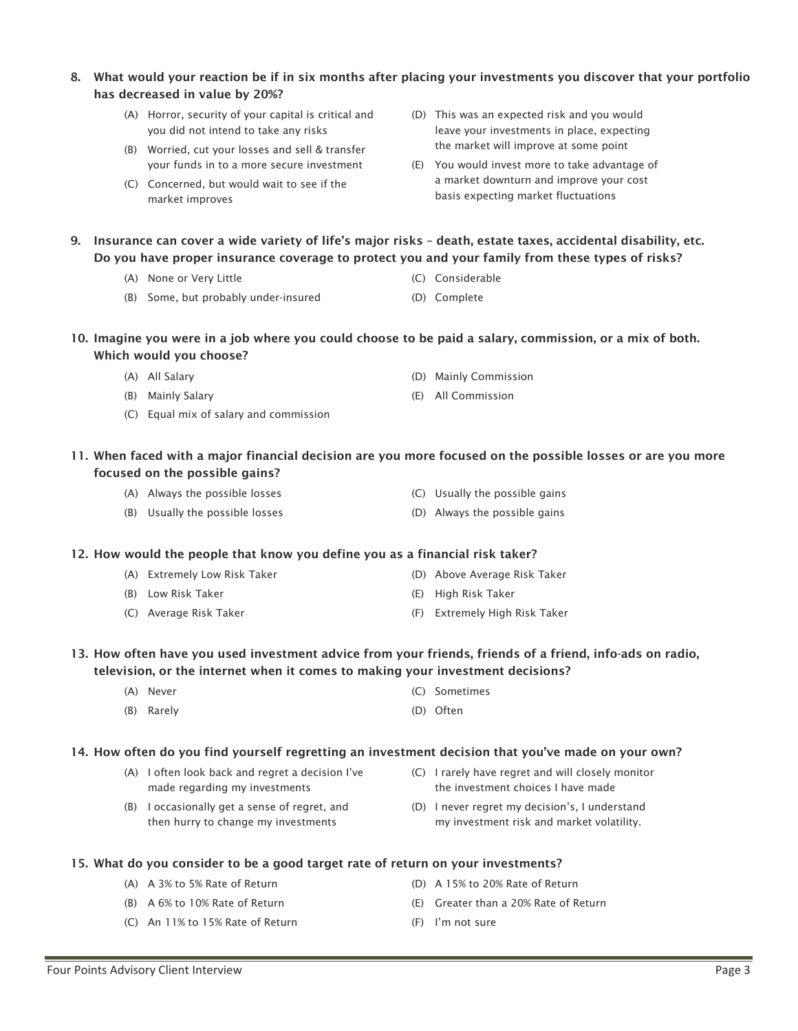# 8. What would your reaction be if in six months after placing your investments you discover that your portfolio has decreased in value by 20%?

- (A) Horror, security of your capital is critical and you did not intend to take any risks
- (B) Worried, cut your losses and sell & transfer your funds in to a more secure investment
- (C) Concerned, but would wait to see if the market improves
- (D) This was an expected risk and you would leave your investments in place, expecting the market will improve at some point
- (E) You would invest more to take advantage of a market downturn and improve your cost basis expecting market fluctuations
- 9. Insurance can cover a wide variety of life's major risks death, estate taxes, accidental disability, etc. Do you have proper insurance coverage to protect you and your family from these types of risks?
	- (A) None or Very Little
	- (B) Some, but probably under-insured
- 10. Imagine you were in a job where you could choose to be paid a salary, commission, or a mix of both. Which would you choose?
	- (A) All Salary
	- (B) Mainly Salary
	- (C) Equal mix of salary and commission
- 11. When faced with a major financial decision are you more focused on the possible losses or are you more focused on the possible gains?
	- (A) Always the possible losses
	- (B) Usually the possible losses
- 12. How would the people that know you define you as a financial risk taker?
	- (A) Extremely Low Risk Taker

(A) A 3% to 5% Rate of Return (B) A 6% to 10% Rate of Return (C) An 11% to 15% Rate of Return

- (B) Low Risk Taker
- (C) Average Risk Taker

(C) Usually the possible gains (D) Always the possible gains

- (D) Above Average Risk Taker
- (E) High Risk Taker
- (F) Extremely High Risk Taker

# 13. How often have you used investment advice from your friends, friends of a friend, info-ads on radio, television, or the internet when it comes to making your investment decisions?

- (A) Never
- (B) Rarely
- (C) Sometimes
- (D) Often

## 14. How often do you find yourself regretting an investment decision that you've made on your own?

- (A) I often look back and regret a decision I've made regarding my investments
- (B) I occasionally get a sense of regret, and then hurry to change my investments
- the investment choices I have made (D) I never regret my decision's, I understand

(C) I rarely have regret and will closely monitor

- my investment risk and market volatility.
- 15. What do you consider to be a good target rate of return on your investments? (D) A 15% to 20% Rate of Return
	-
	- (E) Greater than a 20% Rate of Return
	- (F) I'm not sure
- (E) All Commission
- (C) Considerable (D) Complete
- 
- 
- (D) Mainly Commission
-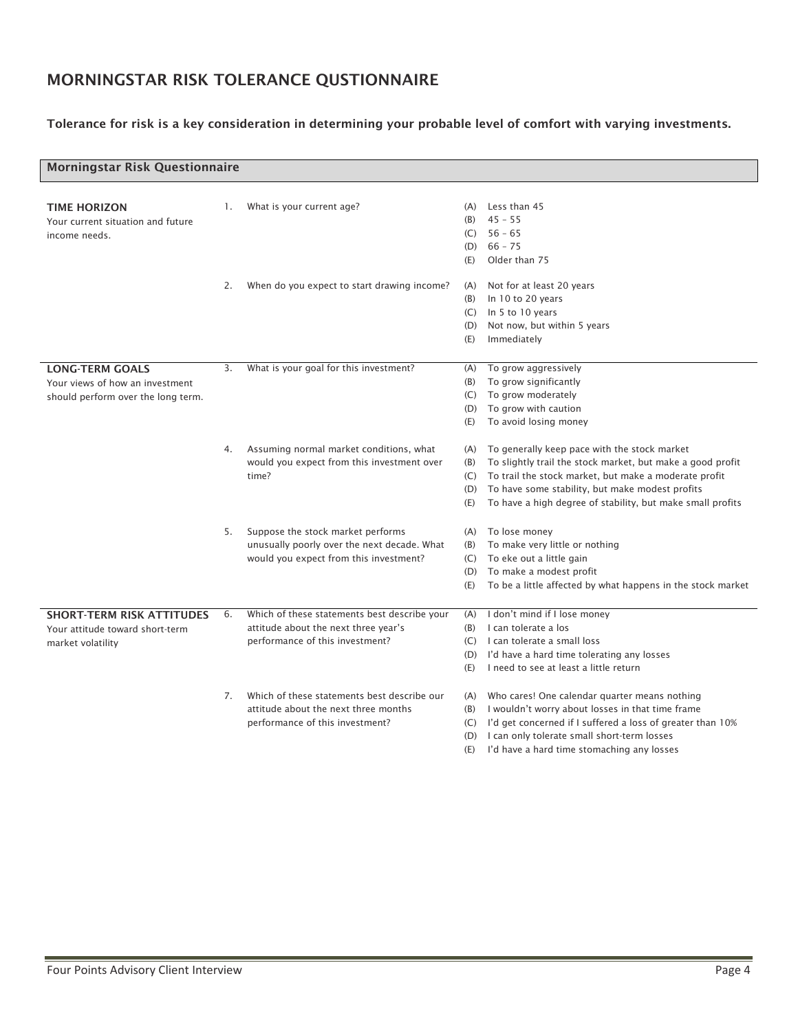# MORNINGSTAR RISK TOLERANCE QUSTIONNAIRE

# Tolerance for risk is a key consideration in determining your probable level of comfort with varying investments.

| <b>Morningstar Risk Questionnaire</b> |    |                                              |     |                                                             |  |
|---------------------------------------|----|----------------------------------------------|-----|-------------------------------------------------------------|--|
|                                       |    |                                              |     |                                                             |  |
| <b>TIME HORIZON</b>                   | 1. | What is your current age?                    | (A) | Less than 45                                                |  |
| Your current situation and future     |    |                                              | (B) | $45 - 55$                                                   |  |
| income needs.                         |    |                                              |     | $(C) 56 - 65$                                               |  |
|                                       |    |                                              | (D) | $66 - 75$                                                   |  |
|                                       |    |                                              | (E) | Older than 75                                               |  |
|                                       | 2. | When do you expect to start drawing income?  | (A) | Not for at least 20 years                                   |  |
|                                       |    |                                              | (B) | In 10 to 20 years                                           |  |
|                                       |    |                                              |     | (C) In 5 to 10 years                                        |  |
|                                       |    |                                              | (D) | Not now, but within 5 years                                 |  |
|                                       |    |                                              | (E) | Immediately                                                 |  |
|                                       |    |                                              |     |                                                             |  |
| <b>LONG-TERM GOALS</b>                | 3. | What is your goal for this investment?       | (A) | To grow aggressively                                        |  |
| Your views of how an investment       |    |                                              | (B) | To grow significantly                                       |  |
| should perform over the long term.    |    |                                              | (C) | To grow moderately                                          |  |
|                                       |    |                                              | (D) | To grow with caution                                        |  |
|                                       |    |                                              | (E) | To avoid losing money                                       |  |
|                                       | 4. | Assuming normal market conditions, what      | (A) | To generally keep pace with the stock market                |  |
|                                       |    | would you expect from this investment over   | (B) | To slightly trail the stock market, but make a good profit  |  |
|                                       |    | time?                                        | (C) | To trail the stock market, but make a moderate profit       |  |
|                                       |    |                                              | (D) | To have some stability, but make modest profits             |  |
|                                       |    |                                              | (E) | To have a high degree of stability, but make small profits  |  |
|                                       |    |                                              |     |                                                             |  |
|                                       | 5. | Suppose the stock market performs            | (A) | To lose money                                               |  |
|                                       |    | unusually poorly over the next decade. What  | (B) | To make very little or nothing                              |  |
|                                       |    | would you expect from this investment?       | (C) | To eke out a little gain                                    |  |
|                                       |    |                                              | (D) | To make a modest profit                                     |  |
|                                       |    |                                              | (E) | To be a little affected by what happens in the stock market |  |
| <b>SHORT-TERM RISK ATTITUDES</b>      | 6. | Which of these statements best describe your |     | (A) I don't mind if I lose money                            |  |
| Your attitude toward short-term       |    | attitude about the next three year's         | (B) | I can tolerate a los                                        |  |
| market volatility                     |    | performance of this investment?              |     | (C) I can tolerate a small loss                             |  |
|                                       |    |                                              |     | (D) I'd have a hard time tolerating any losses              |  |
|                                       |    |                                              | (E) | I need to see at least a little return                      |  |
|                                       |    |                                              |     |                                                             |  |
|                                       | 7. | Which of these statements best describe our  |     | (A) Who cares! One calendar quarter means nothing           |  |
|                                       |    | attitude about the next three months         | (B) | I wouldn't worry about losses in that time frame            |  |
|                                       |    | performance of this investment?              | (C) | I'd get concerned if I suffered a loss of greater than 10%  |  |
|                                       |    |                                              | (D) | I can only tolerate small short-term losses                 |  |
|                                       |    |                                              | (E) | I'd have a hard time stomaching any losses                  |  |